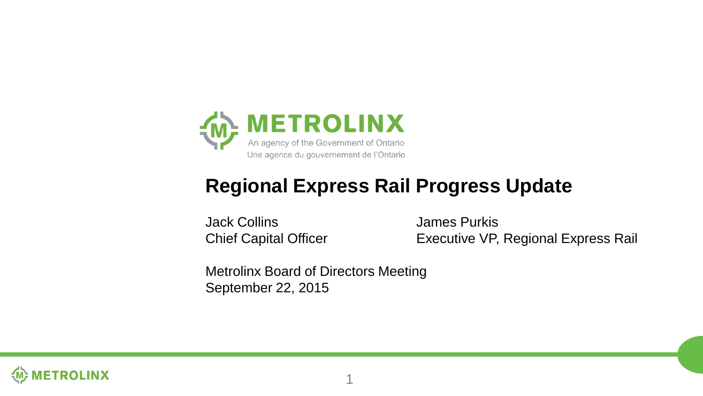

#### **Regional Express Rail Progress Update**

Jack Collins James Purkis

Chief Capital Officer Executive VP, Regional Express Rail

Metrolinx Board of Directors Meeting September 22, 2015

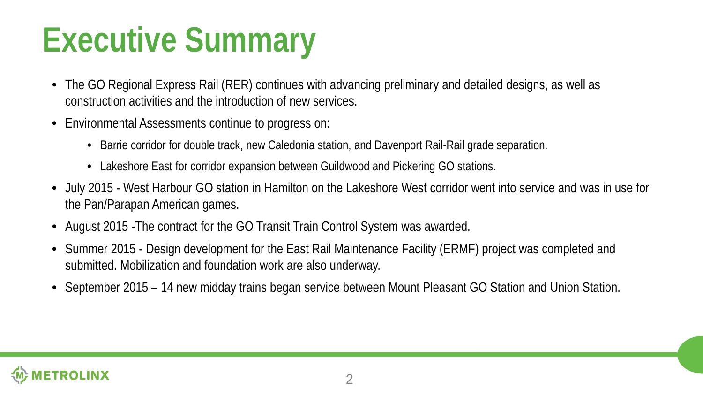### **Executive Summary**

- The GO Regional Express Rail (RER) continues with advancing preliminary and detailed designs, as well as construction activities and the introduction of new services.
- Environmental Assessments continue to progress on:
	- Barrie corridor for double track, new Caledonia station, and Davenport Rail-Rail grade separation.
	- Lakeshore East for corridor expansion between Guildwood and Pickering GO stations.
- July 2015 West Harbour GO station in Hamilton on the Lakeshore West corridor went into service and was in use for the Pan/Parapan American games.
- August 2015 -The contract for the GO Transit Train Control System was awarded.
- Summer 2015 Design development for the East Rail Maintenance Facility (ERMF) project was completed and submitted. Mobilization and foundation work are also underway.
- September 2015 14 new midday trains began service between Mount Pleasant GO Station and Union Station.

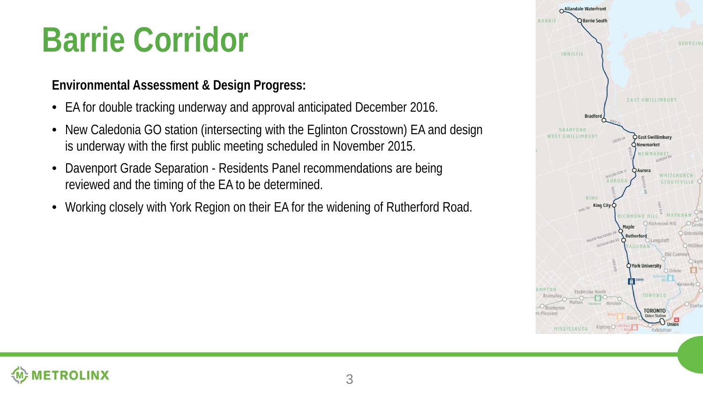### **Barrie Corridor**

#### **Environmental Assessment & Design Progress:**

- EA for double tracking underway and approval anticipated December 2016.
- New Caledonia GO station (intersecting with the Eglinton Crosstown) EA and design is underway with the first public meeting scheduled in November 2015.
- Davenport Grade Separation Residents Panel recommendations are being reviewed and the timing of the EA to be determined.
- Working closely with York Region on their EA for the widening of Rutherford Road.



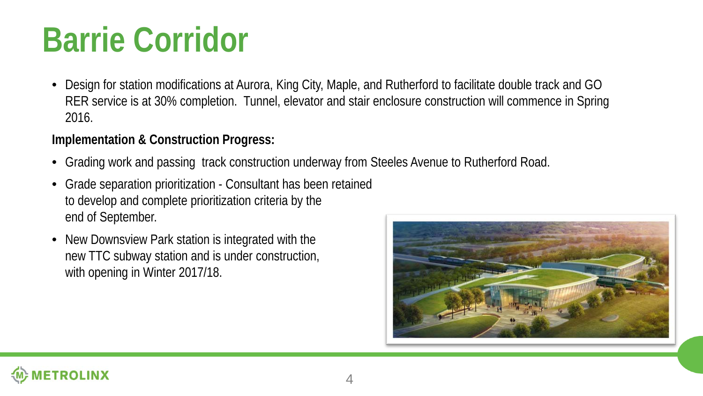### **Barrie Corridor**

• Design for station modifications at Aurora, King City, Maple, and Rutherford to facilitate double track and GO RER service is at 30% completion. Tunnel, elevator and stair enclosure construction will commence in Spring 2016.

- Grading work and passing track construction underway from Steeles Avenue to Rutherford Road.
- Grade separation prioritization Consultant has been retained to develop and complete prioritization criteria by the end of September.
- New Downsview Park station is integrated with the new TTC subway station and is under construction, with opening in Winter 2017/18.

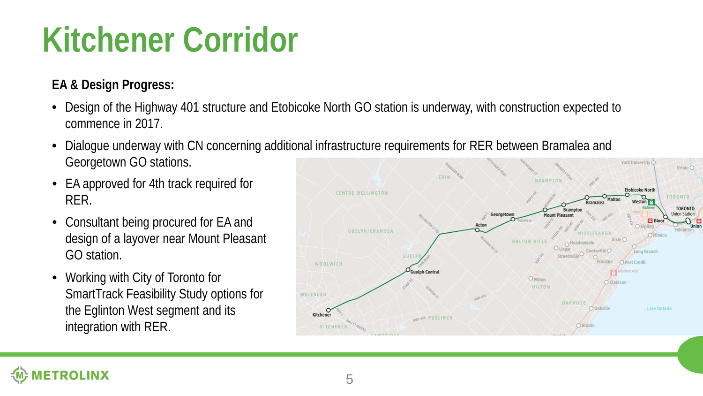### **Kitchener Corridor**

#### **EA & Design Progress:**

- Design of the Highway 401 structure and Etobicoke North GO station is underway, with construction expected to commence in 2017.
- Dialogue underway with CN concerning additional infrastructure requirements for RER between Bramalea and Georgetown GO stations.
- EA approved for 4th track required for RER.
- Consultant being procured for EA and design of a layover near Mount Pleasant GO station.
- Working with City of Toronto for SmartTrack Feasibility Study options for the Eglinton West segment and its integration with RER.

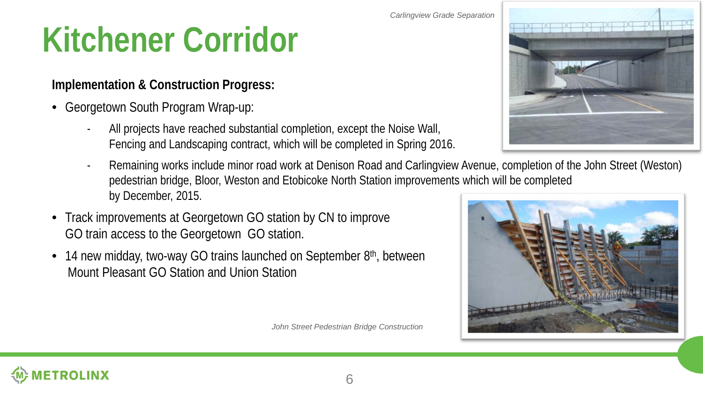#### *Carlingview Grade Separation*

### **Kitchener Corridor**

#### **Implementation & Construction Progress:**

- Georgetown South Program Wrap-up:
	- All projects have reached substantial completion, except the Noise Wall, Fencing and Landscaping contract, which will be completed in Spring 2016.
	- Remaining works include minor road work at Denison Road and Carlingview Avenue, completion of the John Street (Weston) pedestrian bridge, Bloor, Weston and Etobicoke North Station improvements which will be completed by December, 2015.
- Track improvements at Georgetown GO station by CN to improve GO train access to the Georgetown GO station.
- 14 new midday, two-way GO trains launched on September  $8<sup>th</sup>$ , between Mount Pleasant GO Station and Union Station

*John Street Pedestrian Bridge Construction*





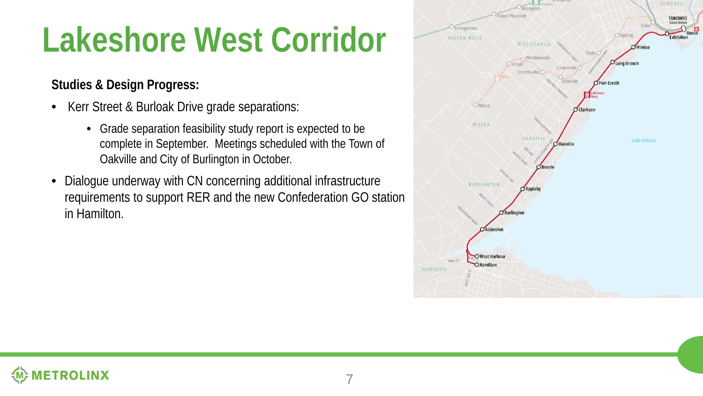### **Lakeshore West Corridor**

#### **Studies & Design Progress:**

- Kerr Street & Burloak Drive grade separations:
	- Grade separation feasibility study report is expected to be complete in September. Meetings scheduled with the Town of Oakville and City of Burlington in October.
- Dialogue underway with CN concerning additional infrastructure requirements to support RER and the new Confederation GO station in Hamilton.



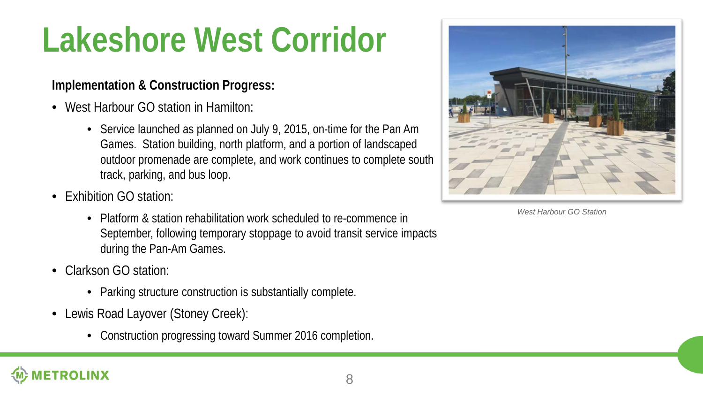### **Lakeshore West Corridor**

- West Harbour GO station in Hamilton:
	- Service launched as planned on July 9, 2015, on-time for the Pan Am Games. Station building, north platform, and a portion of landscaped outdoor promenade are complete, and work continues to complete south track, parking, and bus loop.
- Exhibition GO station:
	- Platform & station rehabilitation work scheduled to re-commence in September, following temporary stoppage to avoid transit service impacts during the Pan-Am Games.
- Clarkson GO station:
	- Parking structure construction is substantially complete.
- Lewis Road Layover (Stoney Creek):
	- Construction progressing toward Summer 2016 completion.



*West Harbour GO Station*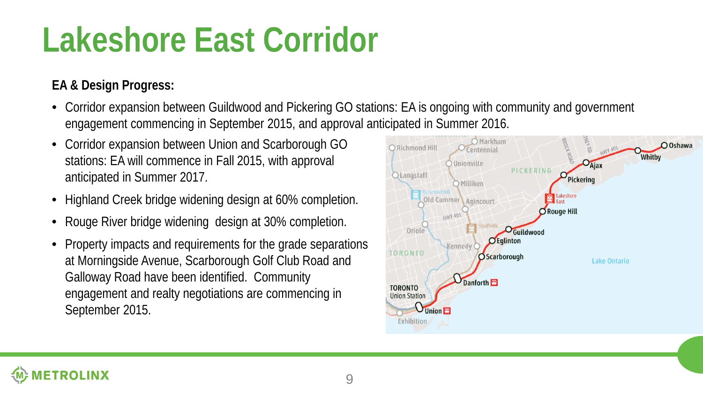### **Lakeshore East Corridor**

#### **EA & Design Progress:**

- Corridor expansion between Guildwood and Pickering GO stations: EA is ongoing with community and government engagement commencing in September 2015, and approval anticipated in Summer 2016.
- Corridor expansion between Union and Scarborough GO stations: EA will commence in Fall 2015, with approval anticipated in Summer 2017.
- Highland Creek bridge widening design at 60% completion.
- Rouge River bridge widening design at 30% completion.
- Property impacts and requirements for the grade separations at Morningside Avenue, Scarborough Golf Club Road and Galloway Road have been identified. Community engagement and realty negotiations are commencing in September 2015.



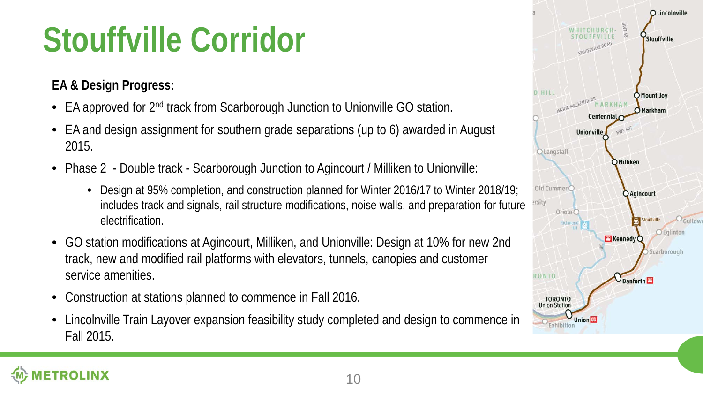### **Stouffville Corridor**

#### **EA & Design Progress:**

- EA approved for 2<sup>nd</sup> track from Scarborough Junction to Unionville GO station.
- EA and design assignment for southern grade separations (up to 6) awarded in August 2015.
- Phase 2 Double track Scarborough Junction to Agincourt / Milliken to Unionville:
	- Design at 95% completion, and construction planned for Winter 2016/17 to Winter 2018/19; includes track and signals, rail structure modifications, noise walls, and preparation for future electrification.
- GO station modifications at Agincourt, Milliken, and Unionville: Design at 10% for new 2nd track, new and modified rail platforms with elevators, tunnels, canopies and customer service amenities.
- Construction at stations planned to commence in Fall 2016.
- Lincolnville Train Layover expansion feasibility study completed and design to commence in Fall 2015.

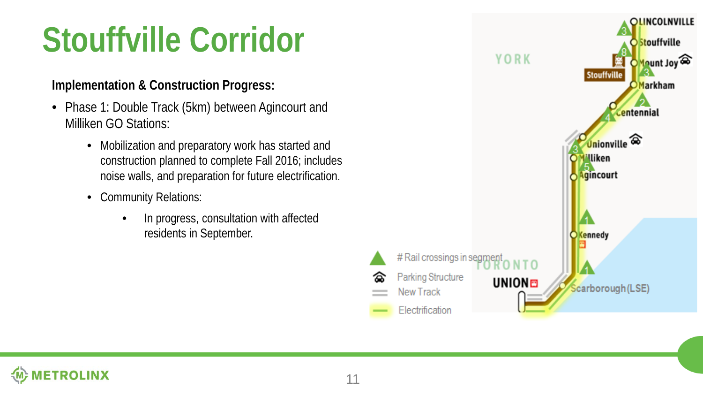### **Stouffville Corridor**

#### **Implementation & Construction Progress:**

- Phase 1: Double Track (5km) between Agincourt and Milliken GO Stations:
	- Mobilization and preparatory work has started and construction planned to complete Fall 2016; includes noise walls, and preparation for future electrification.
	- Community Relations:
		- In progress, consultation with affected residents in September.



∞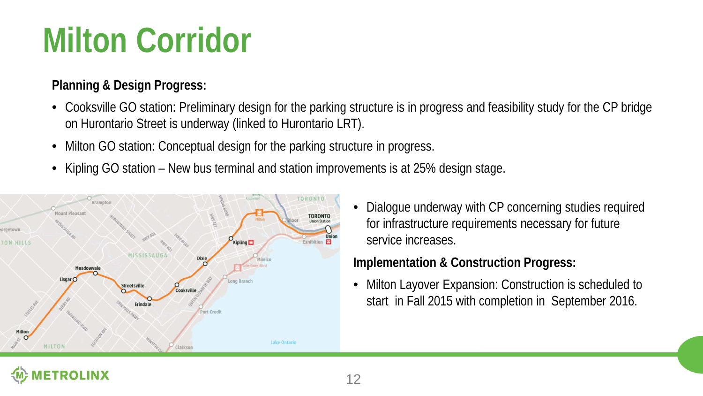### **Milton Corridor**

#### **Planning & Design Progress:**

- Cooksville GO station: Preliminary design for the parking structure is in progress and feasibility study for the CP bridge on Hurontario Street is underway (linked to Hurontario LRT).
- Milton GO station: Conceptual design for the parking structure in progress.
- Kipling GO station New bus terminal and station improvements is at 25% design stage.



• Dialogue underway with CP concerning studies required for infrastructure requirements necessary for future service increases.

#### **Implementation & Construction Progress:**

• Milton Layover Expansion: Construction is scheduled to start in Fall 2015 with completion in September 2016.

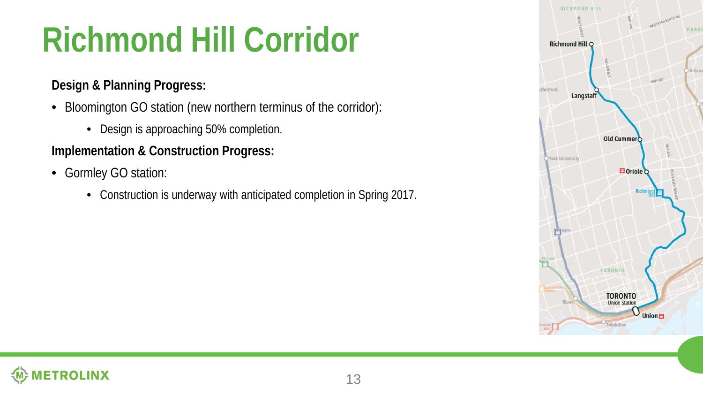# **Richmond Hill Corridor**

#### **Design & Planning Progress:**

- Bloomington GO station (new northern terminus of the corridor):
	- Design is approaching 50% completion.

- Gormley GO station:
	- Construction is underway with anticipated completion in Spring 2017.



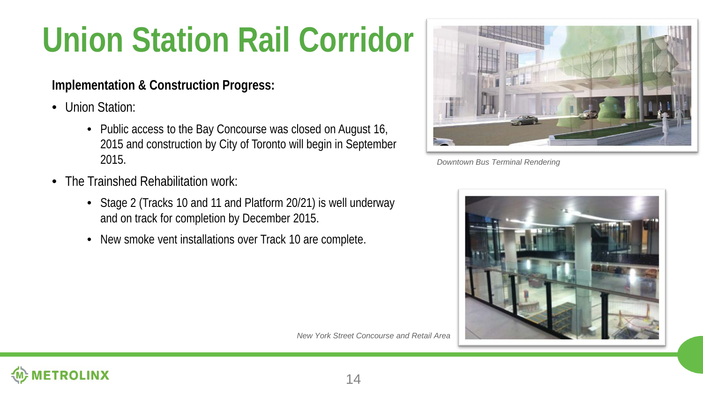# **Union Station Rail Corridor**

- Union Station:
	- Public access to the Bay Concourse was closed on August 16, 2015 and construction by City of Toronto will begin in September 2015.
- The Trainshed Rehabilitation work:
	- Stage 2 (Tracks 10 and 11 and Platform 20/21) is well underway and on track for completion by December 2015.
	- New smoke vent installations over Track 10 are complete.



*Downtown Bus Terminal Rendering*



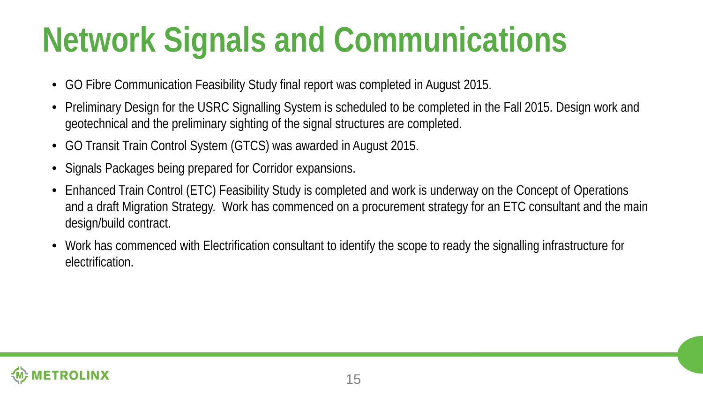## **Network Signals and Communications**

- GO Fibre Communication Feasibility Study final report was completed in August 2015.
- Preliminary Design for the USRC Signalling System is scheduled to be completed in the Fall 2015. Design work and geotechnical and the preliminary sighting of the signal structures are completed.
- GO Transit Train Control System (GTCS) was awarded in August 2015.
- Signals Packages being prepared for Corridor expansions.
- Enhanced Train Control (ETC) Feasibility Study is completed and work is underway on the Concept of Operations and a draft Migration Strategy. Work has commenced on a procurement strategy for an ETC consultant and the main design/build contract.
- Work has commenced with Electrification consultant to identify the scope to ready the signalling infrastructure for electrification.

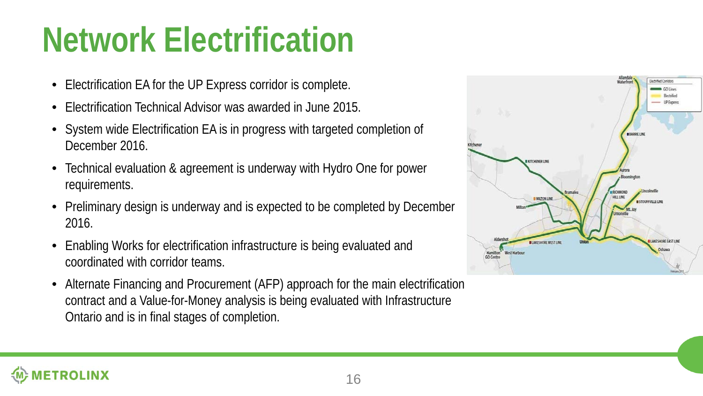### **Network Electrification**

- Electrification EA for the UP Express corridor is complete.
- Electrification Technical Advisor was awarded in June 2015.
- System wide Electrification EA is in progress with targeted completion of December 2016.
- Technical evaluation & agreement is underway with Hydro One for power requirements.
- Preliminary design is underway and is expected to be completed by December 2016.
- Enabling Works for electrification infrastructure is being evaluated and coordinated with corridor teams.
- Alternate Financing and Procurement (AFP) approach for the main electrification contract and a Value-for-Money analysis is being evaluated with Infrastructure Ontario and is in final stages of completion.